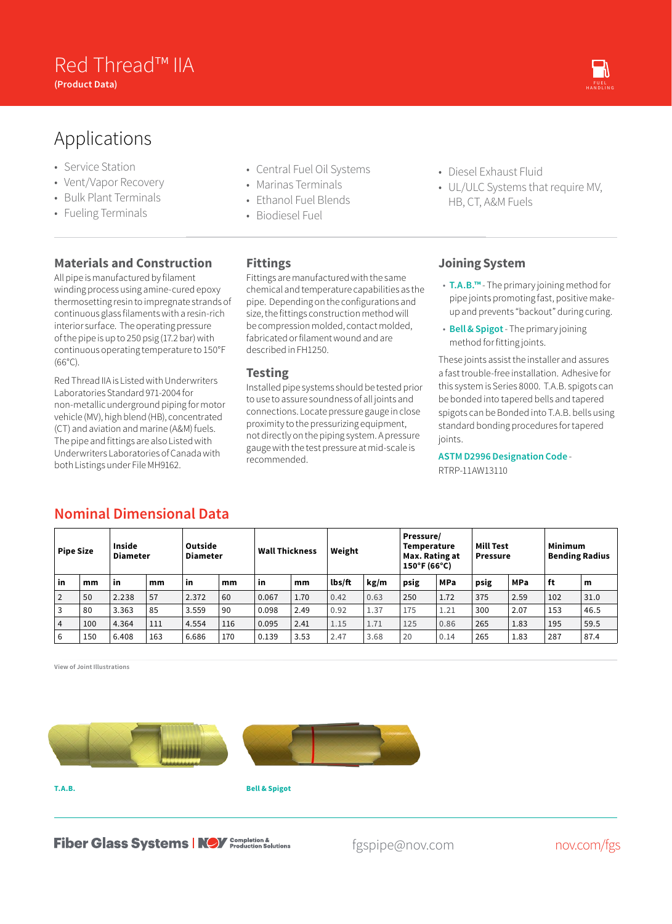## Red Thread™ IIA<br>Product Pata) **(Product Data)** OIL & GAS CHEMICAL & GAS CHEMICAL & GAS CHEMICAL & GAS CHEMICAL & GAS CHEMICAL & GAS CHEMICAL &

# Applications

- Service Station
- Vent/Vapor Recovery
- Bulk Plant Terminals
- Fueling Terminals

#### **Materials and Construction**

All pipe is manufactured by filament winding process using amine-cured epoxy thermosetting resin to impregnate strands of continuous glass filaments with a resin-rich interior surface. The operating pressure of the pipe is up to 250 psig (17.2 bar) with continuous operating temperature to 150°F (66°C).

Red Thread IIA is Listed with Underwriters Laboratories Standard 971-2004 for non-metallic underground piping for motor vehicle (MV), high blend (HB), concentrated (CT) and aviation and marine (A&M) fuels. The pipe and fittings are also Listed with Underwriters Laboratories of Canada with both Listings under File MH9162.

**Nominal Dimensional Data**

- Central Fuel Oil Systems
- Marinas Terminals
- Ethanol Fuel Blends
- Biodiesel Fuel

#### **Fittings**

Fittings are manufactured with the same chemical and temperature capabilities as the pipe. Depending on the configurations and size, the fittings construction method will be compression molded, contact molded, fabricated or filament wound and are described in FH1250.

#### **Testing**

Installed pipe systems should be tested prior to use to assure soundness of all joints and connections. Locate pressure gauge in close proximity to the pressurizing equipment, not directly on the piping system. A pressure gauge with the test pressure at mid-scale is recommended.

- Diesel Exhaust Fluid
- UL/ULC Systems that require MV, HB, CT, A&M Fuels

#### **Joining System**

- **T.A.B.™** The primary joining method for pipe joints promoting fast, positive makeup and prevents "backout" during curing.
- **Bell & Spigot** The primary joining method for fitting joints.

These joints assist the installer and assures a fast trouble-free installation. Adhesive for this system is Series 8000. T.A.B. spigots can be bonded into tapered bells and tapered spigots can be Bonded into T.A.B. bells using standard bonding procedures for tapered joints.

**ASTM D2996 Designation Code** - RTRP-11AW13110

| <b>Pipe Size</b> |     | Inside<br>Diameter |     | Outside<br><b>Diameter</b> |     | <b>Wall Thickness</b> |      | Weight |      | Pressure/<br>Temperature<br>Max. Rating at<br>$150^{\circ}$ F (66°C) |            | Mill Test<br><b>Pressure</b> |            | <b>Minimum</b><br><b>Bending Radius</b> |      |
|------------------|-----|--------------------|-----|----------------------------|-----|-----------------------|------|--------|------|----------------------------------------------------------------------|------------|------------------------------|------------|-----------------------------------------|------|
| in               | mm  | in                 | mm  | -in                        | mm  | in                    | mm   | lbs/ft | kg/m | psig                                                                 | <b>MPa</b> | psig                         | <b>MPa</b> | ft                                      | m    |
| $\overline{2}$   | 50  | 2.238              | 57  | 2.372                      | 60  | 0.067                 | 1.70 | 0.42   | 0.63 | 250                                                                  | 1.72       | 375                          | 2.59       | 102                                     | 31.0 |
| 3                | 80  | 3.363              | 85  | 3.559                      | 90  | 0.098                 | 2.49 | 0.92   | 1.37 | 175                                                                  | 1.21       | 300                          | 2.07       | 153                                     | 46.5 |
| 4                | 100 | 4.364              | 111 | 4.554                      | 116 | 0.095                 | 2.41 | 1.15   | 1.71 | 125                                                                  | 0.86       | 265                          | 1.83       | 195                                     | 59.5 |
| 6                | 150 | 6.408              | 163 | 6.686                      | 170 | 0.139                 | 3.53 | 2.47   | 3.68 | 20                                                                   | 0.14       | 265                          | 1.83       | 287                                     | 87.4 |

**View of Joint Illustrations**



**T.A.B.**

**Bell & Spigot**

**Fiber Glass Systems | NOV** Completion &

fgspipe@nov.com nov.com/fgs